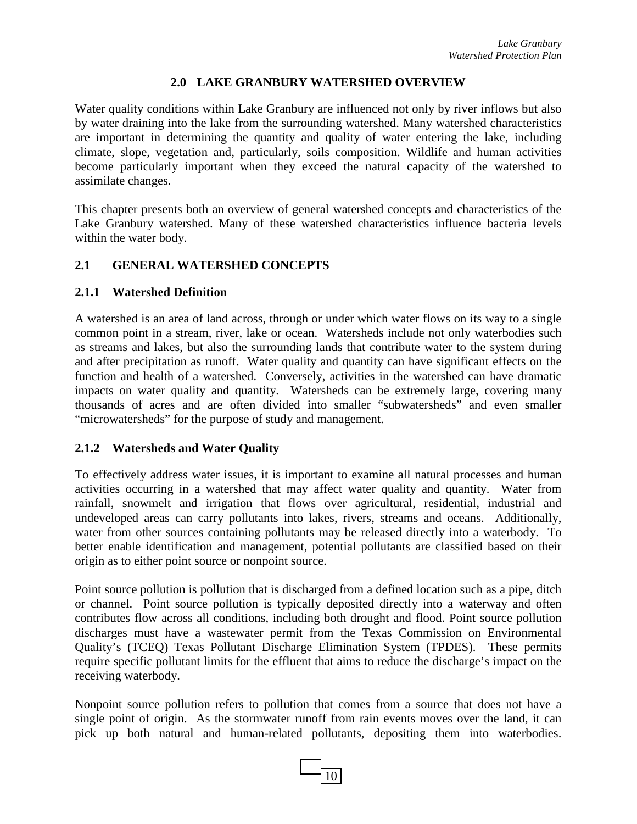#### **2.0 LAKE GRANBURY WATERSHED OVERVIEW**

Water quality conditions within Lake Granbury are influenced not only by river inflows but also by water draining into the lake from the surrounding watershed. Many watershed characteristics are important in determining the quantity and quality of water entering the lake, including climate, slope, vegetation and, particularly, soils composition. Wildlife and human activities become particularly important when they exceed the natural capacity of the watershed to assimilate changes.

This chapter presents both an overview of general watershed concepts and characteristics of the Lake Granbury watershed. Many of these watershed characteristics influence bacteria levels within the water body.

#### **2.1 GENERAL WATERSHED CONCEPTS**

#### **2.1.1 Watershed Definition**

A watershed is an area of land across, through or under which water flows on its way to a single common point in a stream, river, lake or ocean. Watersheds include not only waterbodies such as streams and lakes, but also the surrounding lands that contribute water to the system during and after precipitation as runoff. Water quality and quantity can have significant effects on the function and health of a watershed. Conversely, activities in the watershed can have dramatic impacts on water quality and quantity. Watersheds can be extremely large, covering many thousands of acres and are often divided into smaller "subwatersheds" and even smaller "microwatersheds" for the purpose of study and management.

## **2.1.2 Watersheds and Water Quality**

To effectively address water issues, it is important to examine all natural processes and human activities occurring in a watershed that may affect water quality and quantity. Water from rainfall, snowmelt and irrigation that flows over agricultural, residential, industrial and undeveloped areas can carry pollutants into lakes, rivers, streams and oceans. Additionally, water from other sources containing pollutants may be released directly into a waterbody. To better enable identification and management, potential pollutants are classified based on their origin as to either point source or nonpoint source.

Point source pollution is pollution that is discharged from a defined location such as a pipe, ditch or channel. Point source pollution is typically deposited directly into a waterway and often contributes flow across all conditions, including both drought and flood. Point source pollution discharges must have a wastewater permit from the Texas Commission on Environmental Quality's (TCEQ) Texas Pollutant Discharge Elimination System (TPDES). These permits require specific pollutant limits for the effluent that aims to reduce the discharge's impact on the receiving waterbody.

Nonpoint source pollution refers to pollution that comes from a source that does not have a single point of origin. As the stormwater runoff from rain events moves over the land, it can pick up both natural and human-related pollutants, depositing them into waterbodies.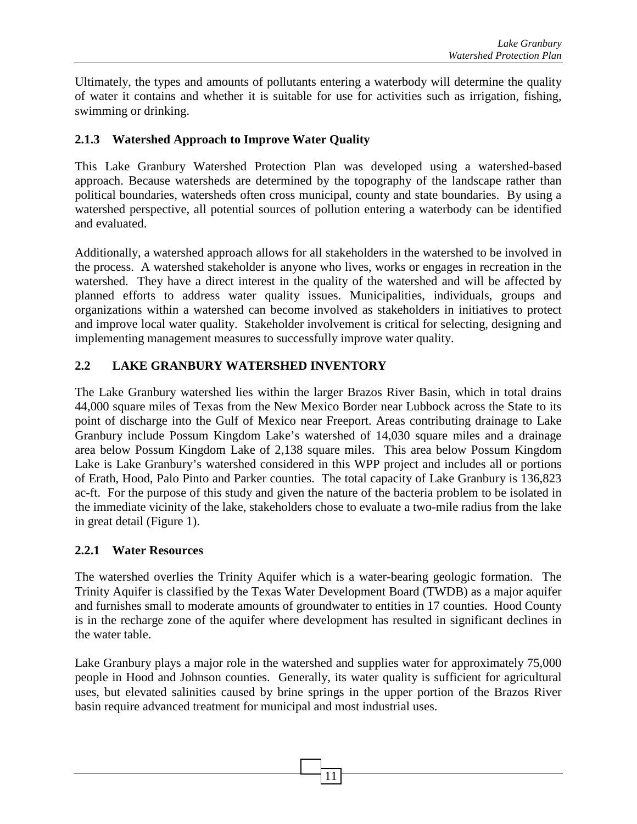Ultimately, the types and amounts of pollutants entering a waterbody will determine the quality of water it contains and whether it is suitable for use for activities such as irrigation, fishing, swimming or drinking.

## **2.1.3 Watershed Approach to Improve Water Quality**

This Lake Granbury Watershed Protection Plan was developed using a watershed-based approach. Because watersheds are determined by the topography of the landscape rather than political boundaries, watersheds often cross municipal, county and state boundaries. By using a watershed perspective, all potential sources of pollution entering a waterbody can be identified and evaluated.

Additionally, a watershed approach allows for all stakeholders in the watershed to be involved in the process. A watershed stakeholder is anyone who lives, works or engages in recreation in the watershed. They have a direct interest in the quality of the watershed and will be affected by planned efforts to address water quality issues. Municipalities, individuals, groups and organizations within a watershed can become involved as stakeholders in initiatives to protect and improve local water quality. Stakeholder involvement is critical for selecting, designing and implementing management measures to successfully improve water quality.

# **2.2 LAKE GRANBURY WATERSHED INVENTORY**

The Lake Granbury watershed lies within the larger Brazos River Basin, which in total drains 44,000 square miles of Texas from the New Mexico Border near Lubbock across the State to its point of discharge into the Gulf of Mexico near Freeport. Areas contributing drainage to Lake Granbury include Possum Kingdom Lake's watershed of 14,030 square miles and a drainage area below Possum Kingdom Lake of 2,138 square miles. This area below Possum Kingdom Lake is Lake Granbury's watershed considered in this WPP project and includes all or portions of Erath, Hood, Palo Pinto and Parker counties. The total capacity of Lake Granbury is 136,823 ac-ft. For the purpose of this study and given the nature of the bacteria problem to be isolated in the immediate vicinity of the lake, stakeholders chose to evaluate a two-mile radius from the lake in great detail (Figure 1).

## **2.2.1 Water Resources**

The watershed overlies the Trinity Aquifer which is a water-bearing geologic formation. The Trinity Aquifer is classified by the Texas Water Development Board (TWDB) as a major aquifer and furnishes small to moderate amounts of groundwater to entities in 17 counties. Hood County is in the recharge zone of the aquifer where development has resulted in significant declines in the water table.

Lake Granbury plays a major role in the watershed and supplies water for approximately 75,000 people in Hood and Johnson counties. Generally, its water quality is sufficient for agricultural uses, but elevated salinities caused by brine springs in the upper portion of the Brazos River basin require advanced treatment for municipal and most industrial uses.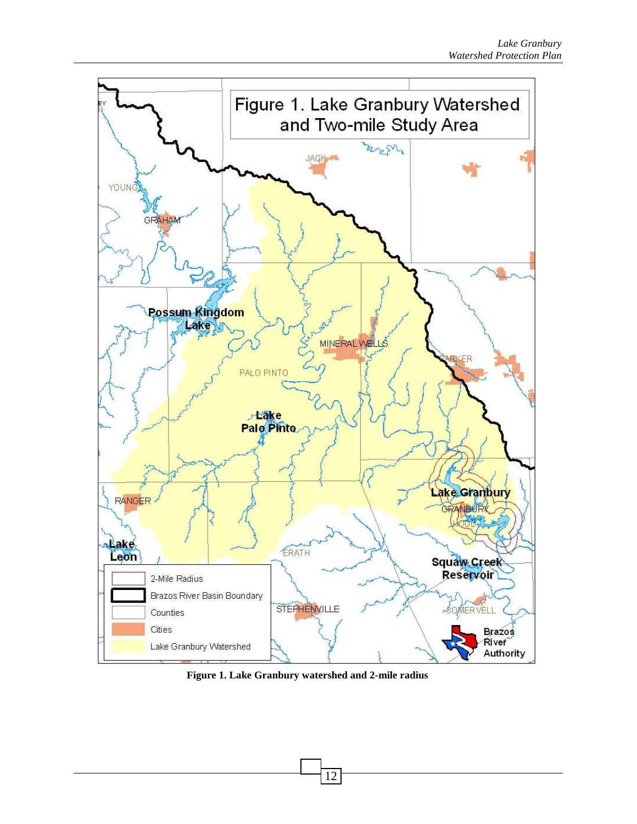

**Figure 1. Lake Granbury watershed and 2-mile radius**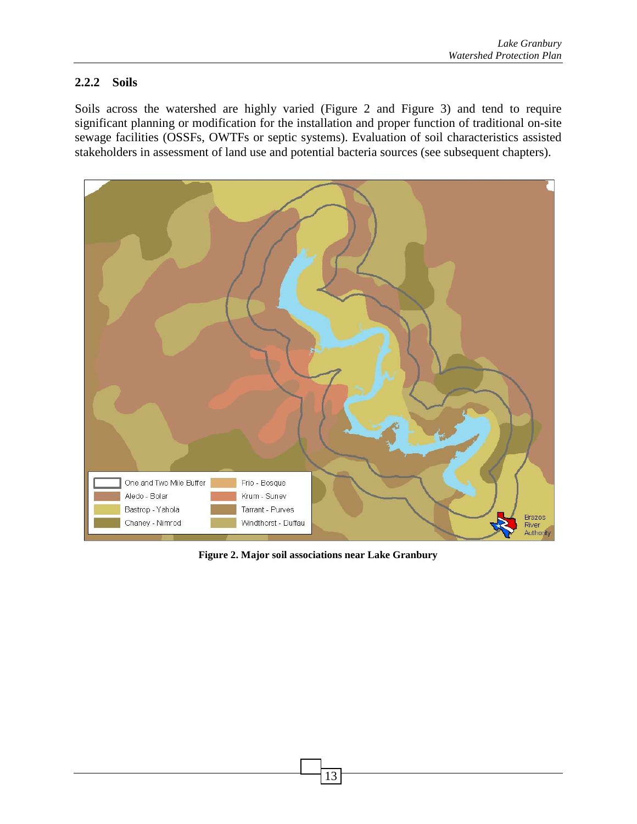## **2.2.2 Soils**

Soils across the watershed are highly varied (Figure 2 and Figure 3) and tend to require significant planning or modification for the installation and proper function of traditional on-site sewage facilities (OSSFs, OWTFs or septic systems). Evaluation of soil characteristics assisted stakeholders in assessment of land use and potential bacteria sources (see subsequent chapters).



**Figure 2. Major soil associations near Lake Granbury**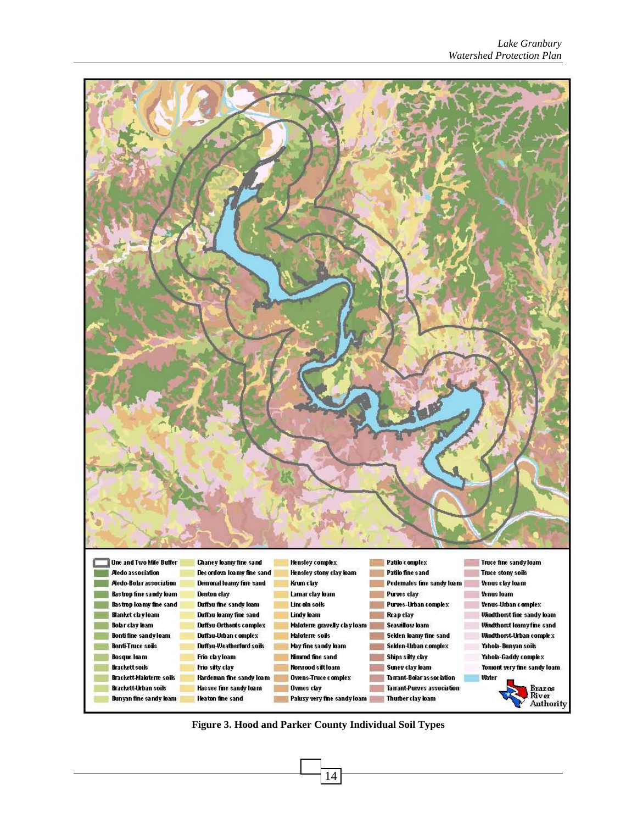

**Figure 3. Hood and Parker County Individual Soil Types**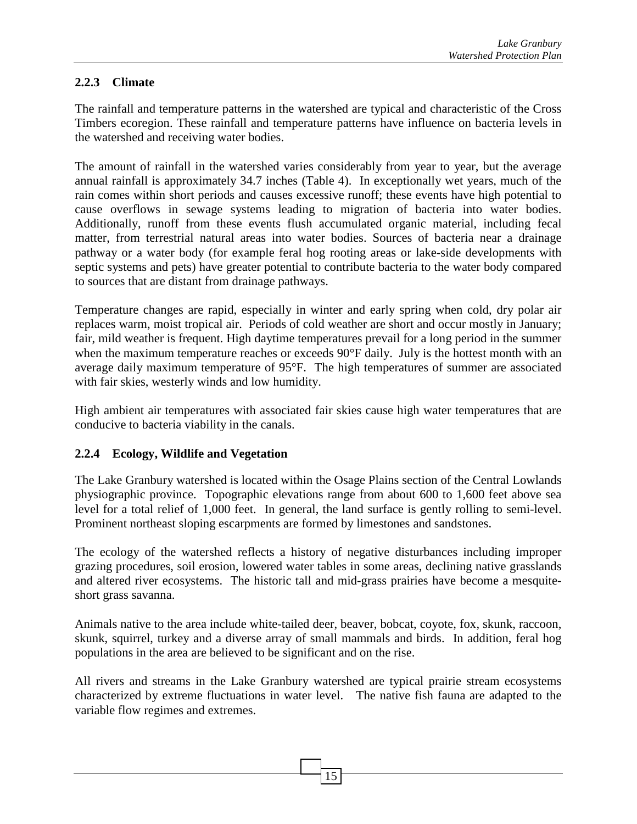# **2.2.3 Climate**

The rainfall and temperature patterns in the watershed are typical and characteristic of the Cross Timbers ecoregion. These rainfall and temperature patterns have influence on bacteria levels in the watershed and receiving water bodies.

The amount of rainfall in the watershed varies considerably from year to year, but the average annual rainfall is approximately 34.7 inches (Table 4). In exceptionally wet years, much of the rain comes within short periods and causes excessive runoff; these events have high potential to cause overflows in sewage systems leading to migration of bacteria into water bodies. Additionally, runoff from these events flush accumulated organic material, including fecal matter, from terrestrial natural areas into water bodies. Sources of bacteria near a drainage pathway or a water body (for example feral hog rooting areas or lake-side developments with septic systems and pets) have greater potential to contribute bacteria to the water body compared to sources that are distant from drainage pathways.

Temperature changes are rapid, especially in winter and early spring when cold, dry polar air replaces warm, moist tropical air. Periods of cold weather are short and occur mostly in January; fair, mild weather is frequent. High daytime temperatures prevail for a long period in the summer when the maximum temperature reaches or exceeds 90°F daily. July is the hottest month with an average daily maximum temperature of 95°F. The high temperatures of summer are associated with fair skies, westerly winds and low humidity.

High ambient air temperatures with associated fair skies cause high water temperatures that are conducive to bacteria viability in the canals.

## **2.2.4 Ecology, Wildlife and Vegetation**

The Lake Granbury watershed is located within the Osage Plains section of the Central Lowlands physiographic province. Topographic elevations range from about 600 to 1,600 feet above sea level for a total relief of 1,000 feet. In general, the land surface is gently rolling to semi-level. Prominent northeast sloping escarpments are formed by limestones and sandstones.

The ecology of the watershed reflects a history of negative disturbances including improper grazing procedures, soil erosion, lowered water tables in some areas, declining native grasslands and altered river ecosystems. The historic tall and mid-grass prairies have become a mesquiteshort grass savanna.

Animals native to the area include white-tailed deer, beaver, bobcat, coyote, fox, skunk, raccoon, skunk, squirrel, turkey and a diverse array of small mammals and birds. In addition, feral hog populations in the area are believed to be significant and on the rise.

All rivers and streams in the Lake Granbury watershed are typical prairie stream ecosystems characterized by extreme fluctuations in water level. The native fish fauna are adapted to the variable flow regimes and extremes.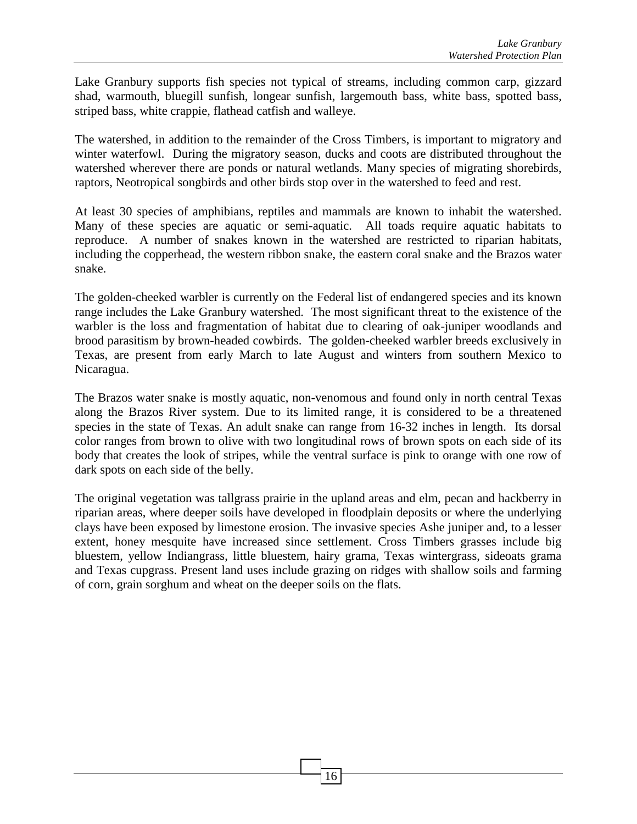Lake Granbury supports fish species not typical of streams, including common carp, gizzard shad, warmouth, bluegill sunfish, longear sunfish, largemouth bass, white bass, spotted bass, striped bass, white crappie, flathead catfish and walleye.

The watershed, in addition to the remainder of the Cross Timbers, is important to migratory and winter waterfowl. During the migratory season, ducks and coots are distributed throughout the watershed wherever there are ponds or natural wetlands. Many species of migrating shorebirds, raptors, Neotropical songbirds and other birds stop over in the watershed to feed and rest.

At least 30 species of amphibians, reptiles and mammals are known to inhabit the watershed. Many of these species are aquatic or semi-aquatic. All toads require aquatic habitats to reproduce. A number of snakes known in the watershed are restricted to riparian habitats, including the copperhead, the western ribbon snake, the eastern coral snake and the Brazos water snake.

The golden-cheeked warbler is currently on the Federal list of endangered species and its known range includes the Lake Granbury watershed. The most significant threat to the existence of the warbler is the loss and fragmentation of habitat due to clearing of oak-juniper woodlands and brood parasitism by brown-headed cowbirds. The golden-cheeked warbler breeds exclusively in Texas, are present from early March to late August and winters from southern Mexico to Nicaragua.

The Brazos water snake is mostly aquatic, non-venomous and found only in north central Texas along the Brazos River system. Due to its limited range, it is considered to be a threatened species in the state of Texas. An adult snake can range from 16-32 inches in length. Its dorsal color ranges from brown to olive with two longitudinal rows of brown spots on each side of its body that creates the look of stripes, while the ventral surface is pink to orange with one row of dark spots on each side of the belly.

The original vegetation was tallgrass prairie in the upland areas and elm, pecan and hackberry in riparian areas, where deeper soils have developed in floodplain deposits or where the underlying clays have been exposed by limestone erosion. The invasive species Ashe juniper and, to a lesser extent, honey mesquite have increased since settlement. Cross Timbers grasses include big bluestem, yellow Indiangrass, little bluestem, hairy grama, Texas wintergrass, sideoats grama and Texas cupgrass. Present land uses include grazing on ridges with shallow soils and farming of corn, grain sorghum and wheat on the deeper soils on the flats.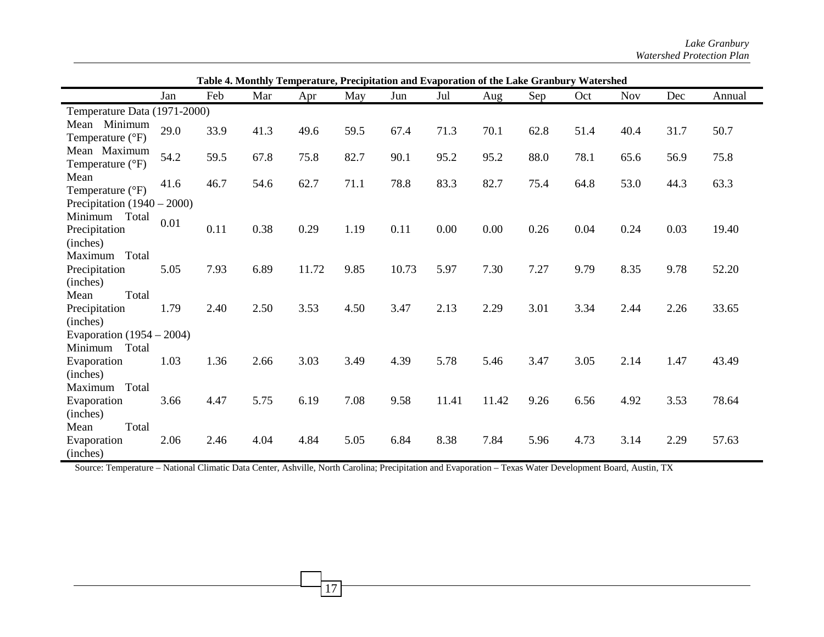|                                               | Table 4. Monthly Temperature, Precipitation and Evaporation of the Lake Granbury Watershed |      |      |       |      |       |       |       |      |      |            |      |        |
|-----------------------------------------------|--------------------------------------------------------------------------------------------|------|------|-------|------|-------|-------|-------|------|------|------------|------|--------|
|                                               | Jan                                                                                        | Feb  | Mar  | Apr   | May  | Jun   | Jul   | Aug   | Sep  | Oct  | <b>Nov</b> | Dec  | Annual |
| Temperature Data (1971-2000)                  |                                                                                            |      |      |       |      |       |       |       |      |      |            |      |        |
| Mean Minimum<br>Temperature $(^{\circ}F)$     | 29.0                                                                                       | 33.9 | 41.3 | 49.6  | 59.5 | 67.4  | 71.3  | 70.1  | 62.8 | 51.4 | 40.4       | 31.7 | 50.7   |
| Mean Maximum<br>Temperature (°F)              | 54.2                                                                                       | 59.5 | 67.8 | 75.8  | 82.7 | 90.1  | 95.2  | 95.2  | 88.0 | 78.1 | 65.6       | 56.9 | 75.8   |
| Mean<br>Temperature (°F)                      | 41.6                                                                                       | 46.7 | 54.6 | 62.7  | 71.1 | 78.8  | 83.3  | 82.7  | 75.4 | 64.8 | 53.0       | 44.3 | 63.3   |
| Precipitation $(1940 – 2000)$                 |                                                                                            |      |      |       |      |       |       |       |      |      |            |      |        |
| Total<br>Minimum<br>Precipitation<br>(inches) | 0.01                                                                                       | 0.11 | 0.38 | 0.29  | 1.19 | 0.11  | 0.00  | 0.00  | 0.26 | 0.04 | 0.24       | 0.03 | 19.40  |
| Maximum Total<br>Precipitation                | 5.05                                                                                       | 7.93 | 6.89 | 11.72 | 9.85 | 10.73 | 5.97  | 7.30  | 7.27 | 9.79 | 8.35       | 9.78 | 52.20  |
| (inches)<br>Total<br>Mean<br>Precipitation    | 1.79                                                                                       | 2.40 | 2.50 | 3.53  | 4.50 | 3.47  | 2.13  | 2.29  | 3.01 | 3.34 | 2.44       | 2.26 | 33.65  |
| (inches)<br>Evaporation $(1954 - 2004)$       |                                                                                            |      |      |       |      |       |       |       |      |      |            |      |        |
| Minimum<br>Total                              |                                                                                            |      |      |       |      |       |       |       |      |      |            |      |        |
| Evaporation<br>(inches)                       | 1.03                                                                                       | 1.36 | 2.66 | 3.03  | 3.49 | 4.39  | 5.78  | 5.46  | 3.47 | 3.05 | 2.14       | 1.47 | 43.49  |
| Maximum Total<br>Evaporation                  | 3.66                                                                                       | 4.47 | 5.75 | 6.19  | 7.08 | 9.58  | 11.41 | 11.42 | 9.26 | 6.56 | 4.92       | 3.53 | 78.64  |
| (inches)<br>Total<br>Mean                     |                                                                                            |      |      |       |      |       |       |       |      |      |            |      |        |
| Evaporation<br>(inches)                       | 2.06                                                                                       | 2.46 | 4.04 | 4.84  | 5.05 | 6.84  | 8.38  | 7.84  | 5.96 | 4.73 | 3.14       | 2.29 | 57.63  |

Source: Temperature – National Climatic Data Center, Ashville, North Carolina; Precipitation and Evaporation – Texas Water Development Board, Austin, TX

17